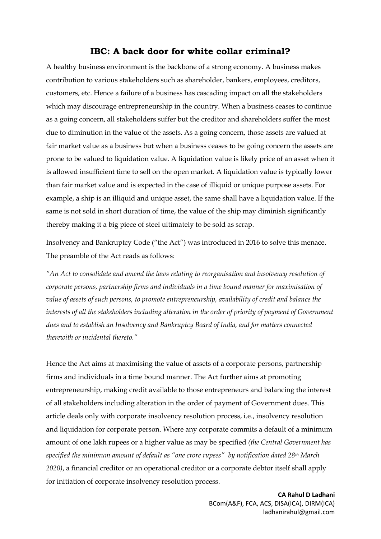# **IBC: A back door for white collar criminal?**

A healthy business environment is the backbone of a strong economy. A business makes contribution to various stakeholders such as shareholder, bankers, employees, creditors, customers, etc. Hence a failure of a business has cascading impact on all the stakeholders which may discourage entrepreneurship in the country. When a business ceases to continue as a going concern, all stakeholders suffer but the creditor and shareholders suffer the most due to diminution in the value of the assets. As a going concern, those assets are valued at fair market value as a business but when a business ceases to be going concern the assets are prone to be valued to liquidation value. A liquidation value is likely price of an asset when it is allowed insufficient time to sell on the open market. A liquidation value is typically lower than fair market value and is expected in the case of illiquid or unique purpose assets. For example, a ship is an illiquid and unique asset, the same shall have a liquidation value. If the same is not sold in short duration of time, the value of the ship may diminish significantly thereby making it a big piece of steel ultimately to be sold as scrap.

Insolvency and Bankruptcy Code ("the Act") was introduced in 2016 to solve this menace. The preamble of the Act reads as follows:

*"An Act to consolidate and amend the laws relating to reorganisation and insolvency resolution of corporate persons, partnership firms and individuals in a time bound manner for maximisation of value of assets of such persons, to promote entrepreneurship, availability of credit and balance the interests of all the stakeholders including alteration in the order of priority of payment of Government dues and to establish an Insolvency and Bankruptcy Board of India, and for matters connected therewith or incidental thereto."*

Hence the Act aims at maximising the value of assets of a corporate persons, partnership firms and individuals in a time bound manner. The Act further aims at promoting entrepreneurship, making credit available to those entrepreneurs and balancing the interest of all stakeholders including alteration in the order of payment of Government dues. This article deals only with corporate insolvency resolution process, i.e., insolvency resolution and liquidation for corporate person. Where any corporate commits a default of a minimum amount of one lakh rupees or a higher value as may be specified *(the Central Government has specified the minimum amount of default as "one crore rupees" by notification dated 28th March 2020)*, a financial creditor or an operational creditor or a corporate debtor itself shall apply for initiation of corporate insolvency resolution process.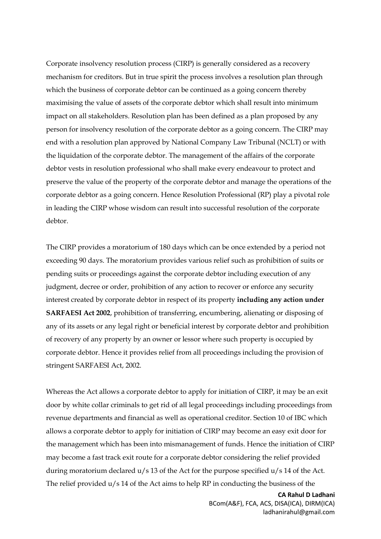Corporate insolvency resolution process (CIRP) is generally considered as a recovery mechanism for creditors. But in true spirit the process involves a resolution plan through which the business of corporate debtor can be continued as a going concern thereby maximising the value of assets of the corporate debtor which shall result into minimum impact on all stakeholders. Resolution plan has been defined as a plan proposed by any person for insolvency resolution of the corporate debtor as a going concern. The CIRP may end with a resolution plan approved by National Company Law Tribunal (NCLT) or with the liquidation of the corporate debtor. The management of the affairs of the corporate debtor vests in resolution professional who shall make every endeavour to protect and preserve the value of the property of the corporate debtor and manage the operations of the corporate debtor as a going concern. Hence Resolution Professional (RP) play a pivotal role in leading the CIRP whose wisdom can result into successful resolution of the corporate debtor.

The CIRP provides a moratorium of 180 days which can be once extended by a period not exceeding 90 days. The moratorium provides various relief such as prohibition of suits or pending suits or proceedings against the corporate debtor including execution of any judgment, decree or order, prohibition of any action to recover or enforce any security interest created by corporate debtor in respect of its property **including any action under SARFAESI Act 2002**, prohibition of transferring, encumbering, alienating or disposing of any of its assets or any legal right or beneficial interest by corporate debtor and prohibition of recovery of any property by an owner or lessor where such property is occupied by corporate debtor. Hence it provides relief from all proceedings including the provision of stringent SARFAESI Act, 2002.

Whereas the Act allows a corporate debtor to apply for initiation of CIRP, it may be an exit door by white collar criminals to get rid of all legal proceedings including proceedings from revenue departments and financial as well as operational creditor. Section 10 of IBC which allows a corporate debtor to apply for initiation of CIRP may become an easy exit door for the management which has been into mismanagement of funds. Hence the initiation of CIRP may become a fast track exit route for a corporate debtor considering the relief provided during moratorium declared u/s 13 of the Act for the purpose specified u/s 14 of the Act. The relief provided  $u/s$  14 of the Act aims to help RP in conducting the business of the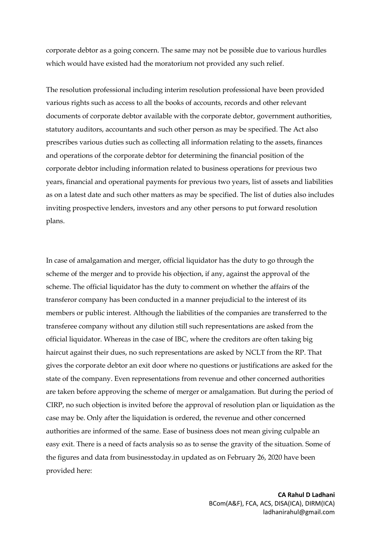corporate debtor as a going concern. The same may not be possible due to various hurdles which would have existed had the moratorium not provided any such relief.

The resolution professional including interim resolution professional have been provided various rights such as access to all the books of accounts, records and other relevant documents of corporate debtor available with the corporate debtor, government authorities, statutory auditors, accountants and such other person as may be specified. The Act also prescribes various duties such as collecting all information relating to the assets, finances and operations of the corporate debtor for determining the financial position of the corporate debtor including information related to business operations for previous two years, financial and operational payments for previous two years, list of assets and liabilities as on a latest date and such other matters as may be specified. The list of duties also includes inviting prospective lenders, investors and any other persons to put forward resolution plans.

In case of amalgamation and merger, official liquidator has the duty to go through the scheme of the merger and to provide his objection, if any, against the approval of the scheme. The official liquidator has the duty to comment on whether the affairs of the transferor company has been conducted in a manner prejudicial to the interest of its members or public interest. Although the liabilities of the companies are transferred to the transferee company without any dilution still such representations are asked from the official liquidator. Whereas in the case of IBC, where the creditors are often taking big haircut against their dues, no such representations are asked by NCLT from the RP. That gives the corporate debtor an exit door where no questions or justifications are asked for the state of the company. Even representations from revenue and other concerned authorities are taken before approving the scheme of merger or amalgamation. But during the period of CIRP, no such objection is invited before the approval of resolution plan or liquidation as the case may be. Only after the liquidation is ordered, the revenue and other concerned authorities are informed of the same. Ease of business does not mean giving culpable an easy exit. There is a need of facts analysis so as to sense the gravity of the situation. Some of the figures and data from businesstoday.in updated as on February 26, 2020 have been provided here: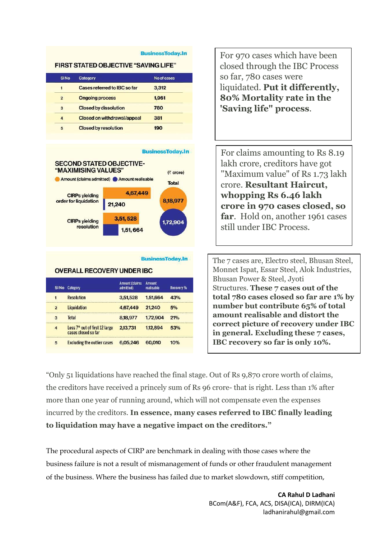#### **BusinessToday.In**

### **FIRST STATED OBJECTIVE "SAVING LIFE"**

| <b>SINO</b>      | Category                     | No of cases |  |
|------------------|------------------------------|-------------|--|
| 1                | Cases referred to IBC so far | 3,312       |  |
| $\overline{2}$   | <b>Ongoing process</b>       | 1,961       |  |
| 3                | <b>Closed by dissolution</b> | 780         |  |
| $\boldsymbol{A}$ | Closed on withdrawal/appeal  | 381         |  |
| 5                | <b>Closed by resolution</b>  | 190         |  |



6,05,246

cases closed so far

**Excluding the outlier cases** 

 $\overline{5}$ 

For 970 cases which have been closed through the IBC Process so far, 780 cases were liquidated. **Put it differently, 80% Mortality rate in the 'Saving life" process**.

For claims amounting to Rs 8.19 lakh crore, creditors have got "Maximum value" of Rs 1.73 lakh crore. **Resultant Haircut, whopping Rs 6.46 lakh crore in 970 cases closed, so far**. Hold on, another 1961 cases still under IBC Process.

The 7 cases are, Electro steel, Bhusan Steel, Monnet Ispat, Essar Steel, Alok Industries, Bhusan Power & Steel, Jyoti Structures. **These 7 cases out of the total 780 cases closed so far are 1% by number but contribute 65% of total amount realisable and distort the correct picture of recovery under IBC in general. Excluding these 7 cases, IBC recovery so far is only 10%.**

"Only 51 liquidations have reached the final stage. Out of Rs 9,870 crore worth of claims, the creditors have received a princely sum of Rs 96 crore- that is right. Less than 1% after more than one year of running around, which will not compensate even the expenses incurred by the creditors. **In essence, many cases referred to IBC finally leading to liquidation may have a negative impact on the creditors."**

10%

60,010

The procedural aspects of CIRP are benchmark in dealing with those cases where the business failure is not a result of mismanagement of funds or other fraudulent management of the business. Where the business has failed due to market slowdown, stiff competition,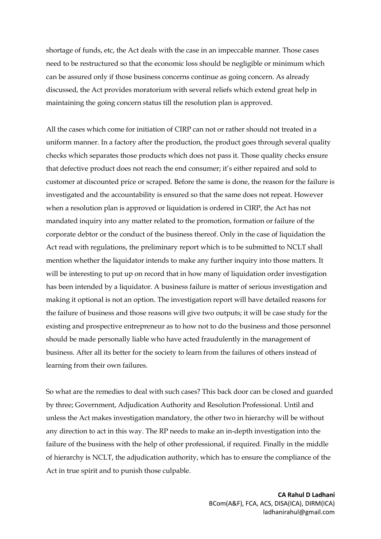shortage of funds, etc, the Act deals with the case in an impeccable manner. Those cases need to be restructured so that the economic loss should be negligible or minimum which can be assured only if those business concerns continue as going concern. As already discussed, the Act provides moratorium with several reliefs which extend great help in maintaining the going concern status till the resolution plan is approved.

All the cases which come for initiation of CIRP can not or rather should not treated in a uniform manner. In a factory after the production, the product goes through several quality checks which separates those products which does not pass it. Those quality checks ensure that defective product does not reach the end consumer; it's either repaired and sold to customer at discounted price or scraped. Before the same is done, the reason for the failure is investigated and the accountability is ensured so that the same does not repeat. However when a resolution plan is approved or liquidation is ordered in CIRP, the Act has not mandated inquiry into any matter related to the promotion, formation or failure of the corporate debtor or the conduct of the business thereof. Only in the case of liquidation the Act read with regulations, the preliminary report which is to be submitted to NCLT shall mention whether the liquidator intends to make any further inquiry into those matters. It will be interesting to put up on record that in how many of liquidation order investigation has been intended by a liquidator. A business failure is matter of serious investigation and making it optional is not an option. The investigation report will have detailed reasons for the failure of business and those reasons will give two outputs; it will be case study for the existing and prospective entrepreneur as to how not to do the business and those personnel should be made personally liable who have acted fraudulently in the management of business. After all its better for the society to learn from the failures of others instead of learning from their own failures.

So what are the remedies to deal with such cases? This back door can be closed and guarded by three; Government, Adjudication Authority and Resolution Professional. Until and unless the Act makes investigation mandatory, the other two in hierarchy will be without any direction to act in this way. The RP needs to make an in-depth investigation into the failure of the business with the help of other professional, if required. Finally in the middle of hierarchy is NCLT, the adjudication authority, which has to ensure the compliance of the Act in true spirit and to punish those culpable.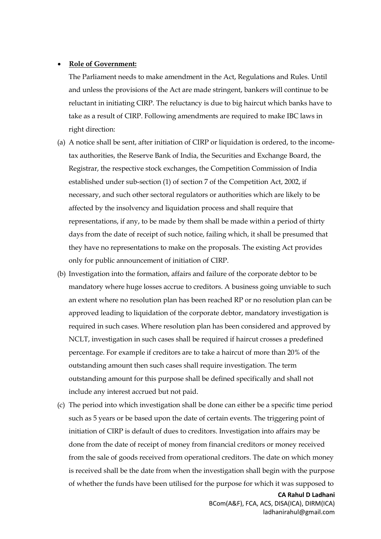### **Role of Government:**

The Parliament needs to make amendment in the Act, Regulations and Rules. Until and unless the provisions of the Act are made stringent, bankers will continue to be reluctant in initiating CIRP. The reluctancy is due to big haircut which banks have to take as a result of CIRP. Following amendments are required to make IBC laws in right direction:

- (a) A notice shall be sent, after initiation of CIRP or liquidation is ordered, to the incometax authorities, the Reserve Bank of India, the Securities and Exchange Board, the Registrar, the respective stock exchanges, the Competition Commission of India established under sub-section (1) of section 7 of the Competition Act, 2002, if necessary, and such other sectoral regulators or authorities which are likely to be affected by the insolvency and liquidation process and shall require that representations, if any, to be made by them shall be made within a period of thirty days from the date of receipt of such notice, failing which, it shall be presumed that they have no representations to make on the proposals. The existing Act provides only for public announcement of initiation of CIRP.
- (b) Investigation into the formation, affairs and failure of the corporate debtor to be mandatory where huge losses accrue to creditors. A business going unviable to such an extent where no resolution plan has been reached RP or no resolution plan can be approved leading to liquidation of the corporate debtor, mandatory investigation is required in such cases. Where resolution plan has been considered and approved by NCLT, investigation in such cases shall be required if haircut crosses a predefined percentage. For example if creditors are to take a haircut of more than 20% of the outstanding amount then such cases shall require investigation. The term outstanding amount for this purpose shall be defined specifically and shall not include any interest accrued but not paid.
- (c) The period into which investigation shall be done can either be a specific time period such as 5 years or be based upon the date of certain events. The triggering point of initiation of CIRP is default of dues to creditors. Investigation into affairs may be done from the date of receipt of money from financial creditors or money received from the sale of goods received from operational creditors. The date on which money is received shall be the date from when the investigation shall begin with the purpose of whether the funds have been utilised for the purpose for which it was supposed to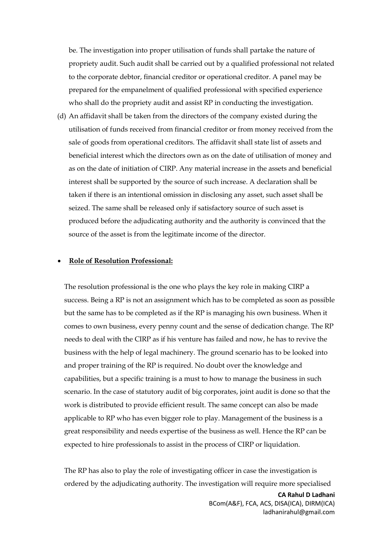be. The investigation into proper utilisation of funds shall partake the nature of propriety audit. Such audit shall be carried out by a qualified professional not related to the corporate debtor, financial creditor or operational creditor. A panel may be prepared for the empanelment of qualified professional with specified experience who shall do the propriety audit and assist RP in conducting the investigation.

(d) An affidavit shall be taken from the directors of the company existed during the utilisation of funds received from financial creditor or from money received from the sale of goods from operational creditors. The affidavit shall state list of assets and beneficial interest which the directors own as on the date of utilisation of money and as on the date of initiation of CIRP. Any material increase in the assets and beneficial interest shall be supported by the source of such increase. A declaration shall be taken if there is an intentional omission in disclosing any asset, such asset shall be seized. The same shall be released only if satisfactory source of such asset is produced before the adjudicating authority and the authority is convinced that the source of the asset is from the legitimate income of the director.

### **Role of Resolution Professional:**

The resolution professional is the one who plays the key role in making CIRP a success. Being a RP is not an assignment which has to be completed as soon as possible but the same has to be completed as if the RP is managing his own business. When it comes to own business, every penny count and the sense of dedication change. The RP needs to deal with the CIRP as if his venture has failed and now, he has to revive the business with the help of legal machinery. The ground scenario has to be looked into and proper training of the RP is required. No doubt over the knowledge and capabilities, but a specific training is a must to how to manage the business in such scenario. In the case of statutory audit of big corporates, joint audit is done so that the work is distributed to provide efficient result. The same concept can also be made applicable to RP who has even bigger role to play. Management of the business is a great responsibility and needs expertise of the business as well. Hence the RP can be expected to hire professionals to assist in the process of CIRP or liquidation.

The RP has also to play the role of investigating officer in case the investigation is ordered by the adjudicating authority. The investigation will require more specialised